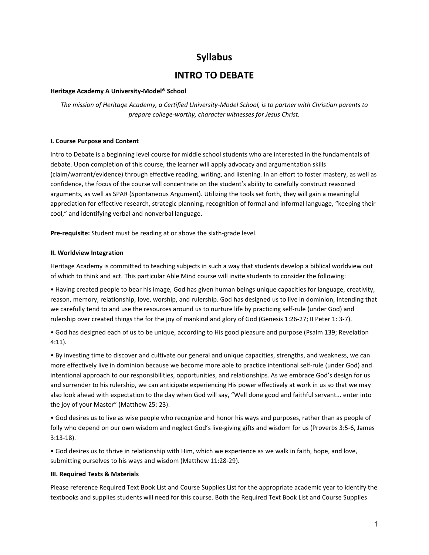# Syllabus

## INTRO TO DEBATE

## Heritage Academy A University-Model® School

The mission of Heritage Academy, a Certified University-Model School, is to partner with Christian parents to prepare college-worthy, character witnesses for Jesus Christ.

## I. Course Purpose and Content

Intro to Debate is a beginning level course for middle school students who are interested in the fundamentals of debate. Upon completion of this course, the learner will apply advocacy and argumentation skills (claim/warrant/evidence) through effective reading, writing, and listening. In an effort to foster mastery, as well as confidence, the focus of the course will concentrate on the student's ability to carefully construct reasoned arguments, as well as SPAR (Spontaneous Argument). Utilizing the tools set forth, they will gain a meaningful appreciation for effective research, strategic planning, recognition of formal and informal language, "keeping their cool," and identifying verbal and nonverbal language.

Pre-requisite: Student must be reading at or above the sixth-grade level.

### II. Worldview Integration

Heritage Academy is committed to teaching subjects in such a way that students develop a biblical worldview out of which to think and act. This particular Able Mind course will invite students to consider the following:

• Having created people to bear his image, God has given human beings unique capacities for language, creativity, reason, memory, relationship, love, worship, and rulership. God has designed us to live in dominion, intending that we carefully tend to and use the resources around us to nurture life by practicing self-rule (under God) and rulership over created things the for the joy of mankind and glory of God (Genesis 1:26-27; II Peter 1: 3-7).

• God has designed each of us to be unique, according to His good pleasure and purpose (Psalm 139; Revelation 4:11).

• By investing time to discover and cultivate our general and unique capacities, strengths, and weakness, we can more effectively live in dominion because we become more able to practice intentional self-rule (under God) and intentional approach to our responsibilities, opportunities, and relationships. As we embrace God's design for us and surrender to his rulership, we can anticipate experiencing His power effectively at work in us so that we may also look ahead with expectation to the day when God will say, "Well done good and faithful servant... enter into the joy of your Master" (Matthew 25: 23).

• God desires us to live as wise people who recognize and honor his ways and purposes, rather than as people of folly who depend on our own wisdom and neglect God's live-giving gifts and wisdom for us (Proverbs 3:5-6, James 3:13-18).

• God desires us to thrive in relationship with Him, which we experience as we walk in faith, hope, and love, submitting ourselves to his ways and wisdom (Matthew 11:28-29).

#### III. Required Texts & Materials

Please reference Required Text Book List and Course Supplies List for the appropriate academic year to identify the textbooks and supplies students will need for this course. Both the Required Text Book List and Course Supplies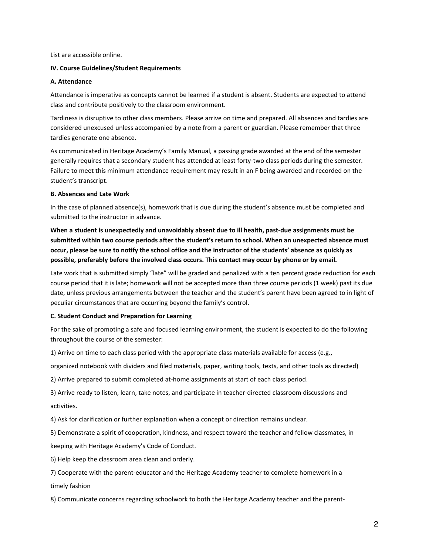List are accessible online.

#### IV. Course Guidelines/Student Requirements

#### A. Attendance

Attendance is imperative as concepts cannot be learned if a student is absent. Students are expected to attend class and contribute positively to the classroom environment.

Tardiness is disruptive to other class members. Please arrive on time and prepared. All absences and tardies are considered unexcused unless accompanied by a note from a parent or guardian. Please remember that three tardies generate one absence.

As communicated in Heritage Academy's Family Manual, a passing grade awarded at the end of the semester generally requires that a secondary student has attended at least forty-two class periods during the semester. Failure to meet this minimum attendance requirement may result in an F being awarded and recorded on the student's transcript.

### B. Absences and Late Work

In the case of planned absence(s), homework that is due during the student's absence must be completed and submitted to the instructor in advance.

When a student is unexpectedly and unavoidably absent due to ill health, past-due assignments must be submitted within two course periods after the student's return to school. When an unexpected absence must occur, please be sure to notify the school office and the instructor of the students' absence as quickly as possible, preferably before the involved class occurs. This contact may occur by phone or by email.

Late work that is submitted simply "late" will be graded and penalized with a ten percent grade reduction for each course period that it is late; homework will not be accepted more than three course periods (1 week) past its due date, unless previous arrangements between the teacher and the student's parent have been agreed to in light of peculiar circumstances that are occurring beyond the family's control.

## C. Student Conduct and Preparation for Learning

For the sake of promoting a safe and focused learning environment, the student is expected to do the following throughout the course of the semester:

1) Arrive on time to each class period with the appropriate class materials available for access (e.g.,

organized notebook with dividers and filed materials, paper, writing tools, texts, and other tools as directed)

2) Arrive prepared to submit completed at-home assignments at start of each class period.

3) Arrive ready to listen, learn, take notes, and participate in teacher-directed classroom discussions and activities.

4) Ask for clarification or further explanation when a concept or direction remains unclear.

5) Demonstrate a spirit of cooperation, kindness, and respect toward the teacher and fellow classmates, in

keeping with Heritage Academy's Code of Conduct.

6) Help keep the classroom area clean and orderly.

7) Cooperate with the parent-educator and the Heritage Academy teacher to complete homework in a timely fashion

8) Communicate concerns regarding schoolwork to both the Heritage Academy teacher and the parent-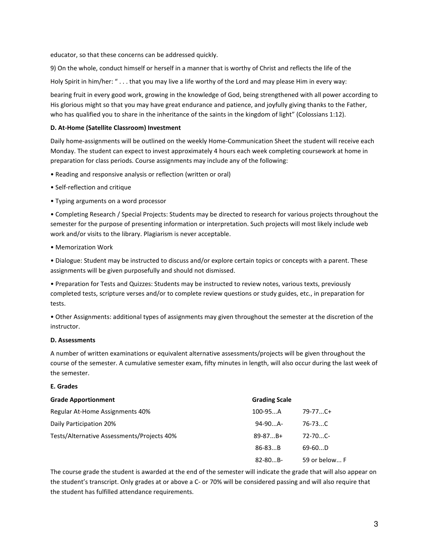educator, so that these concerns can be addressed quickly.

9) On the whole, conduct himself or herself in a manner that is worthy of Christ and reflects the life of the Holy Spirit in him/her: " . . . that you may live a life worthy of the Lord and may please Him in every way:

bearing fruit in every good work, growing in the knowledge of God, being strengthened with all power according to His glorious might so that you may have great endurance and patience, and joyfully giving thanks to the Father, who has qualified you to share in the inheritance of the saints in the kingdom of light" (Colossians 1:12).

## D. At-Home (Satellite Classroom) Investment

Daily home-assignments will be outlined on the weekly Home-Communication Sheet the student will receive each Monday. The student can expect to invest approximately 4 hours each week completing coursework at home in preparation for class periods. Course assignments may include any of the following:

- Reading and responsive analysis or reflection (written or oral)
- Self-reflection and critique
- Typing arguments on a word processor

• Completing Research / Special Projects: Students may be directed to research for various projects throughout the semester for the purpose of presenting information or interpretation. Such projects will most likely include web work and/or visits to the library. Plagiarism is never acceptable.

• Memorization Work

• Dialogue: Student may be instructed to discuss and/or explore certain topics or concepts with a parent. These assignments will be given purposefully and should not dismissed.

• Preparation for Tests and Quizzes: Students may be instructed to review notes, various texts, previously completed tests, scripture verses and/or to complete review questions or study guides, etc., in preparation for tests.

• Other Assignments: additional types of assignments may given throughout the semester at the discretion of the instructor.

## D. Assessments

A number of written examinations or equivalent alternative assessments/projects will be given throughout the course of the semester. A cumulative semester exam, fifty minutes in length, will also occur during the last week of the semester.

## E. Grades

| <b>Grade Apportionment</b>                 | <b>Grading Scale</b> |               |
|--------------------------------------------|----------------------|---------------|
| Regular At-Home Assignments 40%            | $100 - 95$ A         | $79 - 77C +$  |
| Daily Participation 20%                    | $94-90$ A-           | $76 - 73C$    |
| Tests/Alternative Assessments/Projects 40% | $89 - 87B +$         | $72 - 70C$    |
|                                            | $86 - 83B$           | $69-60D$      |
|                                            | $82 - 80B -$         | 59 or below F |

The course grade the student is awarded at the end of the semester will indicate the grade that will also appear on the student's transcript. Only grades at or above a C- or 70% will be considered passing and will also require that the student has fulfilled attendance requirements.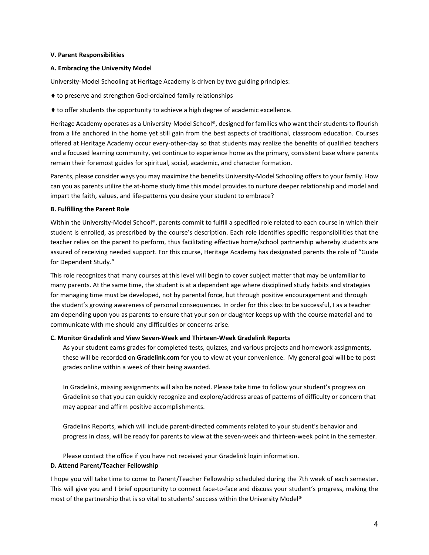#### V. Parent Responsibilities

#### A. Embracing the University Model

University-Model Schooling at Heritage Academy is driven by two guiding principles:

- ♦ to preserve and strengthen God-ordained family relationships
- ♦ to offer students the opportunity to achieve a high degree of academic excellence.

Heritage Academy operates as a University-Model School®, designed for families who want their students to flourish from a life anchored in the home yet still gain from the best aspects of traditional, classroom education. Courses offered at Heritage Academy occur every-other-day so that students may realize the benefits of qualified teachers and a focused learning community, yet continue to experience home as the primary, consistent base where parents remain their foremost guides for spiritual, social, academic, and character formation.

Parents, please consider ways you may maximize the benefits University-Model Schooling offers to your family. How can you as parents utilize the at-home study time this model provides to nurture deeper relationship and model and impart the faith, values, and life-patterns you desire your student to embrace?

#### B. Fulfilling the Parent Role

Within the University-Model School®, parents commit to fulfill a specified role related to each course in which their student is enrolled, as prescribed by the course's description. Each role identifies specific responsibilities that the teacher relies on the parent to perform, thus facilitating effective home/school partnership whereby students are assured of receiving needed support. For this course, Heritage Academy has designated parents the role of "Guide for Dependent Study."

This role recognizes that many courses at this level will begin to cover subject matter that may be unfamiliar to many parents. At the same time, the student is at a dependent age where disciplined study habits and strategies for managing time must be developed, not by parental force, but through positive encouragement and through the student's growing awareness of personal consequences. In order for this class to be successful, I as a teacher am depending upon you as parents to ensure that your son or daughter keeps up with the course material and to communicate with me should any difficulties or concerns arise.

#### C. Monitor Gradelink and View Seven-Week and Thirteen-Week Gradelink Reports

As your student earns grades for completed tests, quizzes, and various projects and homework assignments, these will be recorded on Gradelink.com for you to view at your convenience. My general goal will be to post grades online within a week of their being awarded.

In Gradelink, missing assignments will also be noted. Please take time to follow your student's progress on Gradelink so that you can quickly recognize and explore/address areas of patterns of difficulty or concern that may appear and affirm positive accomplishments.

Gradelink Reports, which will include parent-directed comments related to your student's behavior and progress in class, will be ready for parents to view at the seven-week and thirteen-week point in the semester.

Please contact the office if you have not received your Gradelink login information.

#### D. Attend Parent/Teacher Fellowship

I hope you will take time to come to Parent/Teacher Fellowship scheduled during the 7th week of each semester. This will give you and I brief opportunity to connect face-to-face and discuss your student's progress, making the most of the partnership that is so vital to students' success within the University Model®